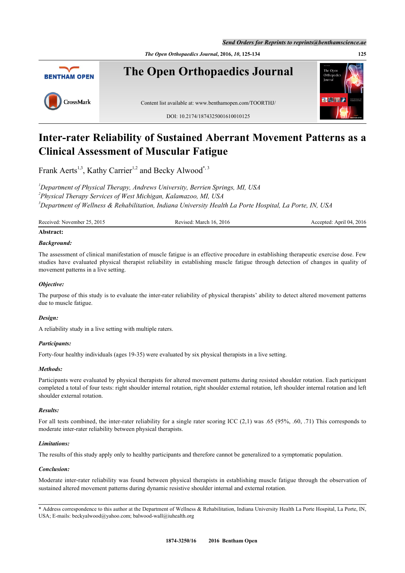*Send Orders for Reprints to reprints@benthamscience.ae*

*The Open Orthopaedics Journal***, 2016,** *10***, 125-134 125**



# **Inter-rater Reliability of Sustained Aberrant Movement Patterns as a Clinical Assessment of Muscular Fatigue**

Frank Aerts<sup>[1,](#page-0-0)[3](#page-0-1)</sup>, Kathy Carrier<sup>1,[2](#page-0-2)</sup> and Becky Alwood<sup>[\\*](#page-0-3),3</sup>

<span id="page-0-2"></span><span id="page-0-1"></span><span id="page-0-0"></span>*<sup>1</sup>Department of Physical Therapy, Andrews University, Berrien Springs, MI, USA 2 Physical Therapy Services of West Michigan, Kalamazoo, MI, USA <sup>3</sup>Department of Wellness & Rehabilitation, Indiana University Health La Porte Hospital, La Porte, IN, USA*

| Received: November 25,<br>25, 2015<br>2016<br>March 16.<br>Revised: | $+2016$<br>April 04.<br>Accepted: |
|---------------------------------------------------------------------|-----------------------------------|
|---------------------------------------------------------------------|-----------------------------------|

# **Abstract:**

# *Background:*

The assessment of clinical manifestation of muscle fatigue is an effective procedure in establishing therapeutic exercise dose. Few studies have evaluated physical therapist reliability in establishing muscle fatigue through detection of changes in quality of movement patterns in a live setting.

# *Objective:*

The purpose of this study is to evaluate the inter-rater reliability of physical therapists' ability to detect altered movement patterns due to muscle fatigue.

## *Design:*

A reliability study in a live setting with multiple raters.

## *Participants:*

Forty-four healthy individuals (ages 19-35) were evaluated by six physical therapists in a live setting.

## *Methods:*

Participants were evaluated by physical therapists for altered movement patterns during resisted shoulder rotation. Each participant completed a total of four tests: right shoulder internal rotation, right shoulder external rotation, left shoulder internal rotation and left shoulder external rotation.

## *Results:*

For all tests combined, the inter-rater reliability for a single rater scoring ICC  $(2,1)$  was .65 (95%, .60, .71) This corresponds to moderate inter-rater reliability between physical therapists.

## *Limitations:*

The results of this study apply only to healthy participants and therefore cannot be generalized to a symptomatic population.

## *Conclusion:*

Moderate inter-rater reliability was found between physical therapists in establishing muscle fatigue through the observation of sustained altered movement patterns during dynamic resistive shoulder internal and external rotation.

<span id="page-0-3"></span>\* Address correspondence to this author at the Department of Wellness & Rehabilitation, Indiana University Health La Porte Hospital, La Porte, IN, USA; E-mails: [beckyalwood@yahoo.com](mailto:beckyalwood@yahoo.com); [balwood-wall@iuhealth.org](mailto:balwood-wall@iuhealth.org)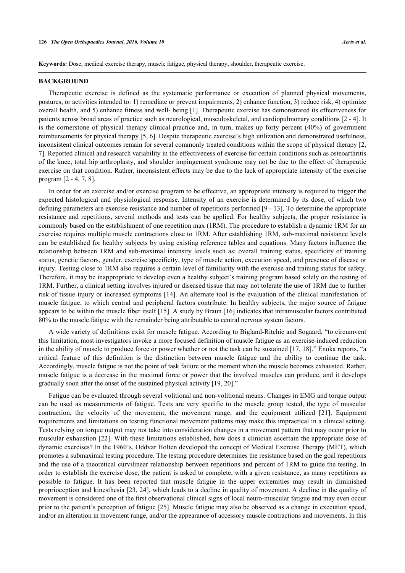**Keywords:** Dose, medical exercise therapy, muscle fatigue, physical therapy, shoulder, therapeutic exercise.

#### **BACKGROUND**

Therapeutic exercise is defined as the systematic performance or execution of planned physical movements, postures, or activities intended to: 1) remediate or prevent impairments, 2) enhance function, 3) reduce risk, 4) optimize overall health, and 5) enhance fitness and well- being [[1\]](#page-7-0). Therapeutic exercise has demonstrated its effectiveness for patients across broad areas of practice such as neurological, musculoskeletal, and cardiopulmonary conditions [\[2](#page-7-1) - [4](#page-7-2)]. It is the cornerstone of physical therapy clinical practice and, in turn, makes up forty percent (40%) of government reimbursements for physical therapy [[5,](#page-7-3) [6\]](#page-7-4). Despite therapeutic exercise's high utilization and demonstrated usefulness, inconsistent clinical outcomes remain for several commonly treated conditions within the scope of physical therapy [\[2](#page-7-1), [7\]](#page-7-5). Reported clinical and research variability in the effectiveness of exercise for certain conditions such as osteoarthritis of the knee, total hip arthroplasty, and shoulder impingement syndrome may not be due to the effect of therapeutic exercise on that condition. Rather, inconsistent effects may be due to the lack of appropriate intensity of the exercise program [\[2](#page-7-1) - [4,](#page-7-2) [7,](#page-7-5) [8\]](#page-7-6).

In order for an exercise and/or exercise program to be effective, an appropriate intensity is required to trigger the expected histological and physiological response. Intensity of an exercise is determined by its dose, of which two defining parameters are exercise resistance and number of repetitions performed [\[9](#page-7-7) - [13](#page-8-0)]. To determine the appropriate resistance and repetitions, several methods and tests can be applied. For healthy subjects, the proper resistance is commonly based on the establishment of one repetition max (1RM). The procedure to establish a dynamic 1RM for an exercise requires multiple muscle contractions close to 1RM. After establishing 1RM, sub-maximal resistance levels can be established for healthy subjects by using existing reference tables and equations. Many factors influence the relationship between 1RM and sub-maximal intensity levels such as: overall training status, specificity of training status, genetic factors, gender, exercise specificity, type of muscle action, execution speed, and presence of disease or injury. Testing close to 1RM also requires a certain level of familiarity with the exercise and training status for safety. Therefore, it may be inappropriate to develop even a healthy subject's training program based solely on the testing of 1RM. Further, a clinical setting involves injured or diseased tissue that may not tolerate the use of 1RM due to further risk of tissue injury or increased symptoms [\[14\]](#page-8-1). An alternate tool is the evaluation of the clinical manifestation of muscle fatigue, to which central and peripheral factors contribute. In healthy subjects, the major source of fatigue appears to be within the muscle fiber itself [\[15\]](#page-8-2). A study by Braun [[16\]](#page-8-3) indicates that intramuscular factors contributed 80% to the muscle fatigue with the remainder being attributable to central nervous system factors.

A wide variety of definitions exist for muscle fatigue. According to Bigland-Ritchie and Sogaard, "to circumvent this limitation, most investigators invoke a more focused definition of muscle fatigue as an exercise-induced reduction in the ability of muscle to produce force or power whether or not the task can be sustained [\[17,](#page-8-4) [18\]](#page-8-5)." Enoka reports, "a critical feature of this definition is the distinction between muscle fatigue and the ability to continue the task. Accordingly, muscle fatigue is not the point of task failure or the moment when the muscle becomes exhausted. Rather, muscle fatigue is a decrease in the maximal force or power that the involved muscles can produce, and it develops gradually soon after the onset of the sustained physical activity [\[19](#page-8-6), [20](#page-8-7)]."

Fatigue can be evaluated through several volitional and non-volitional means. Changes in EMG and torque output can be used as measurements of fatigue. Tests are very specific to the muscle group tested, the type of muscular contraction, the velocity of the movement, the movement range, and the equipment utilized [\[21\]](#page-8-8). Equipment requirements and limitations on testing functional movement patterns may make this impractical in a clinical setting. Tests relying on torque output may not take into consideration changes in a movement pattern that may occur prior to muscular exhaustion [\[22\]](#page-8-9). With these limitations established, how does a clinician ascertain the appropriate dose of dynamic exercises? In the 1960's, Oddvar Holten developed the concept of Medical Exercise Therapy (MET), which promotes a submaximal testing procedure. The testing procedure determines the resistance based on the goal repetitions and the use of a theoretical curvilinear relationship between repetitions and percent of 1RM to guide the testing. In order to establish the exercise dose, the patient is asked to complete, with a given resistance, as many repetitions as possible to fatigue. It has been reported that muscle fatigue in the upper extremities may result in diminished proprioception and kinesthesia [[23,](#page-8-10) [24](#page-8-11)], which leads to a decline in quality of movement. A decline in the quality of movement is considered one of the first observational clinical signs of local neuro-muscular fatigue and may even occur prior to the patient's perception of fatigue [[25](#page-8-12)]. Muscle fatigue may also be observed as a change in execution speed, and/or an alteration in movement range, and/or the appearance of accessory muscle contractions and movements. In this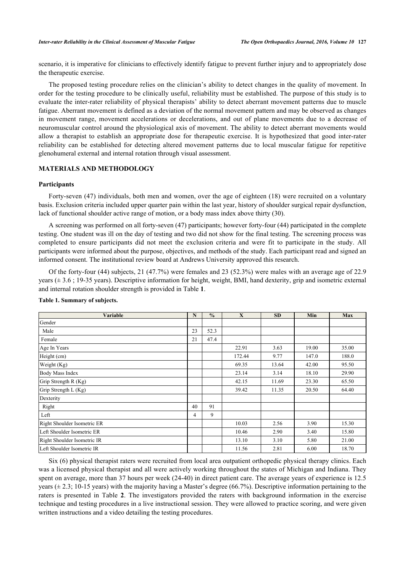scenario, it is imperative for clinicians to effectively identify fatigue to prevent further injury and to appropriately dose the therapeutic exercise.

The proposed testing procedure relies on the clinician's ability to detect changes in the quality of movement. In order for the testing procedure to be clinically useful, reliability must be established. The purpose of this study is to evaluate the inter-rater reliability of physical therapists' ability to detect aberrant movement patterns due to muscle fatigue. Aberrant movement is defined as a deviation of the normal movement pattern and may be observed as changes in movement range, movement accelerations or decelerations, and out of plane movements due to a decrease of neuromuscular control around the physiological axis of movement. The ability to detect aberrant movements would allow a therapist to establish an appropriate dose for therapeutic exercise. It is hypothesized that good inter-rater reliability can be established for detecting altered movement patterns due to local muscular fatigue for repetitive glenohumeral external and internal rotation through visual assessment.

# **MATERIALS AND METHODOLOGY**

#### **Participants**

Forty-seven (47) individuals, both men and women, over the age of eighteen (18) were recruited on a voluntary basis. Exclusion criteria included upper quarter pain within the last year, history of shoulder surgical repair dysfunction, lack of functional shoulder active range of motion, or a body mass index above thirty (30).

A screening was performed on all forty-seven (47) participants; however forty-four (44) participated in the complete testing. One student was ill on the day of testing and two did not show for the final testing. The screening process was completed to ensure participants did not meet the exclusion criteria and were fit to participate in the study. All participants were informed about the purpose, objectives, and methods of the study. Each participant read and signed an informed consent. The institutional review board at Andrews University approved this research.

Of the forty-four (44) subjects, 21 (47.7%) were females and 23 (52.3%) were males with an average age of 22.9 years ( $\pm$  3.6; 19-35 years). Descriptive information for height, weight, BMI, hand dexterity, grip and isometric external and internal rotation shoulder strength is provided in Table **[1](#page-2-0)**.

| Variable                    | N  | $\frac{0}{0}$ | X      | <b>SD</b> | Min   | <b>Max</b> |
|-----------------------------|----|---------------|--------|-----------|-------|------------|
| Gender                      |    |               |        |           |       |            |
| Male                        | 23 | 52.3          |        |           |       |            |
| Female                      | 21 | 47.4          |        |           |       |            |
| Age In Years                |    |               | 22.91  | 3.63      | 19.00 | 35.00      |
| Height (cm)                 |    |               | 172.44 | 9.77      | 147.0 | 188.0      |
| Weight (Kg)                 |    |               | 69.35  | 13.64     | 42.00 | 95.50      |
| <b>Body Mass Index</b>      |    |               | 23.14  | 3.14      | 18.10 | 29.90      |
| Grip Strength R (Kg)        |    |               | 42.15  | 11.69     | 23.30 | 65.50      |
| Grip Strength L (Kg)        |    |               | 39.42  | 11.35     | 20.50 | 64.40      |
| Dexterity                   |    |               |        |           |       |            |
| Right                       | 40 | 91            |        |           |       |            |
| Left                        | 4  | 9             |        |           |       |            |
| Right Shoulder Isometric ER |    |               | 10.03  | 2.56      | 3.90  | 15.30      |
| Left Shoulder Isometric ER  |    |               | 10.46  | 2.90      | 3.40  | 15.80      |
| Right Shoulder Isometric IR |    |               | 13.10  | 3.10      | 5.80  | 21.00      |
| Left Shoulder Isometric IR  |    |               | 11.56  | 2.81      | 6.00  | 18.70      |

#### <span id="page-2-0"></span>**Table 1. Summary of subjects.**

<span id="page-2-1"></span>Six (6) physical therapist raters were recruited from local area outpatient orthopedic physical therapy clinics. Each was a licensed physical therapist and all were actively working throughout the states of Michigan and Indiana. They spent on average, more than 37 hours per week (24-40) in direct patient care. The average years of experience is 12.5 years ( $\pm$  2.3; 10-15 years) with the majority having a Master's degree (66.7%). Descriptive information pertaining to the raters is presented in Table**2**. The investigators provided the raters with background information in the exercise technique and testing procedures in a live instructional session. They were allowed to practice scoring, and were given written instructions and a video detailing the testing procedures.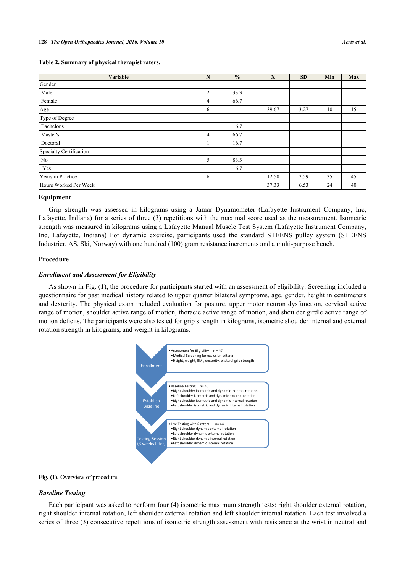| Variable                | N              | $\frac{0}{0}$ | X     | <b>SD</b> | Min | Max |
|-------------------------|----------------|---------------|-------|-----------|-----|-----|
| Gender                  |                |               |       |           |     |     |
| Male                    | 2              | 33.3          |       |           |     |     |
| Female                  | 4              | 66.7          |       |           |     |     |
| Age                     | 6              |               | 39.67 | 3.27      | 10  | 15  |
| Type of Degree          |                |               |       |           |     |     |
| Bachelor's              |                | 16.7          |       |           |     |     |
| Master's                | $\overline{4}$ | 66.7          |       |           |     |     |
| Doctoral                |                | 16.7          |       |           |     |     |
| Specialty Certification |                |               |       |           |     |     |
| $\rm No$                | 5              | 83.3          |       |           |     |     |
| Yes                     |                | 16.7          |       |           |     |     |
| Years in Practice       | 6              |               | 12.50 | 2.59      | 35  | 45  |
| Hours Worked Per Week   |                |               | 37.33 | 6.53      | 24  | 40  |

#### **Equipment**

Grip strength was assessed in kilograms using a Jamar Dynamometer (Lafayette Instrument Company, Inc, Lafayette, Indiana) for a series of three (3) repetitions with the maximal score used as the measurement. Isometric strength was measured in kilograms using a Lafayette Manual Muscle Test System (Lafayette Instrument Company, Inc, Lafayette, Indiana) For dynamic exercise, participants used the standard STEENS pulley system (STEENS Industrier, AS, Ski, Norway) with one hundred (100) gram resistance increments and a multi-purpose bench.

## **Procedure**

## *Enrollment and Assessment for Eligibility*

<span id="page-3-0"></span>As shown in Fig. (**[1](#page-3-0)**), the procedure for participants started with an assessment of eligibility. Screening included a questionnaire for past medical history related to upper quarter bilateral symptoms, age, gender, height in centimeters and dexterity. The physical exam included evaluation for posture, upper motor neuron dysfunction, cervical active range of motion, shoulder active range of motion, thoracic active range of motion, and shoulder girdle active range of motion deficits. The participants were also tested for grip strength in kilograms, isometric shoulder internal and external rotation strength in kilograms, and weight in kilograms.



#### Fig. (1). Overview of procedure.

## *Baseline Testing*

Each participant was asked to perform four (4) isometric maximum strength tests: right shoulder external rotation, right shoulder internal rotation, left shoulder external rotation and left shoulder internal rotation. Each test involved a series of three (3) consecutive repetitions of isometric strength assessment with resistance at the wrist in neutral and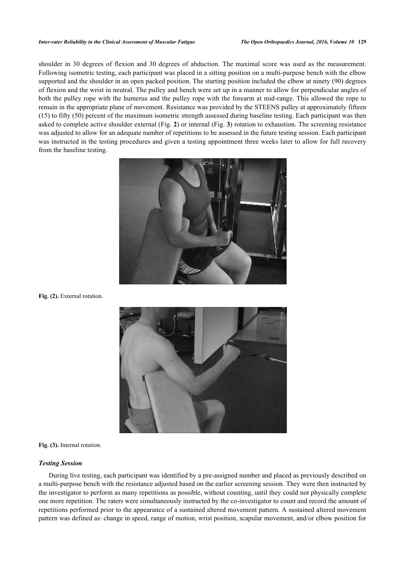#### *Inter-rater Reliability in the Clinical Assessment of Muscular Fatigue The Open Orthopaedics Journal, 2016, Volume 10* **129**

<span id="page-4-0"></span>shoulder in 30 degrees of flexion and 30 degrees of abduction. The maximal score was used as the measurement. Following isometric testing, each participant was placed in a sitting position on a multi-purpose bench with the elbow supported and the shoulder in an open packed position. The starting position included the elbow at ninety (90) degrees of flexion and the wrist in neutral. The pulley and bench were set up in a manner to allow for perpendicular angles of both the pulley rope with the humerus and the pulley rope with the forearm at mid-range. This allowed the rope to remain in the appropriate plane of movement. Resistance was provided by the STEENS pulley at approximately fifteen (15) to fifty (50) percent of the maximum isometric strength assessed during baseline testing. Each participant was then asked to complete active shoulder external (Fig. **[2](#page-4-0)**) or internal (Fig. **[3](#page-4-1)**) rotation to exhaustion. The screening resistance was adjusted to allow for an adequate number of repetitions to be assessed in the future testing session. Each participant was instructed in the testing procedures and given a testing appointment three weeks later to allow for full recovery from the baseline testing.



<span id="page-4-1"></span>Fig. (2). External rotation.



**Fig. (3).** Internal rotation.

#### *Testing Session*

During live testing, each participant was identified by a pre-assigned number and placed as previously described on a multi-purpose bench with the resistance adjusted based on the earlier screening session. They were then instructed by the investigator to perform as many repetitions as possible, without counting, until they could not physically complete one more repetition. The raters were simultaneously instructed by the co-investigator to count and record the amount of repetitions performed prior to the appearance of a sustained altered movement pattern. A sustained altered movement pattern was defined as: change in speed, range of motion, wrist position, scapular movement, and/or elbow position for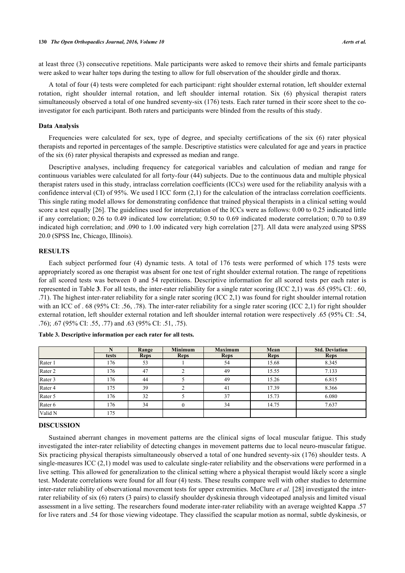at least three (3) consecutive repetitions. Male participants were asked to remove their shirts and female participants were asked to wear halter tops during the testing to allow for full observation of the shoulder girdle and thorax.

A total of four (4) tests were completed for each participant: right shoulder external rotation, left shoulder external rotation, right shoulder internal rotation, and left shoulder internal rotation. Six (6) physical therapist raters simultaneously observed a total of one hundred seventy-six (176) tests. Each rater turned in their score sheet to the coinvestigator for each participant. Both raters and participants were blinded from the results of this study.

## **Data Analysis**

Frequencies were calculated for sex, type of degree, and specialty certifications of the six (6) rater physical therapists and reported in percentages of the sample. Descriptive statistics were calculated for age and years in practice of the six (6) rater physical therapists and expressed as median and range.

Descriptive analyses, including frequency for categorical variables and calculation of median and range for continuous variables were calculated for all forty-four (44) subjects. Due to the continuous data and multiple physical therapist raters used in this study, intraclass correlation coefficients (ICCs) were used for the reliability analysis with a confidence interval (CI) of 95%. We used l ICC form (2,1) for the calculation of the intraclass correlation coefficients. This single rating model allows for demonstrating confidence that trained physical therapists in a clinical setting would score a test equally [[26\]](#page-8-13). The guidelines used for interpretation of the ICCs were as follows: 0.00 to 0.25 indicated little if any correlation; 0.26 to 0.49 indicated low correlation; 0.50 to 0.69 indicated moderate correlation; 0.70 to 0.89 indicated high correlation; and .090 to 1.00 indicated very high correlation [\[27](#page-8-14)]. All data were analyzed using SPSS 20.0 (SPSS Inc, Chicago, Illinois).

# **RESULTS**

Each subject performed four (4) dynamic tests. A total of 176 tests were performed of which 175 tests were appropriately scored as one therapist was absent for one test of right shoulder external rotation. The range of repetitions for all scored tests was between 0 and 54 repetitions. Descriptive information for all scored tests per each rater is represented in Table **[3](#page-5-0)**. For all tests, the inter-rater reliability for a single rater scoring (ICC 2,1) was .65 (95% CI: . 60, .71). The highest inter-rater reliability for a single rater scoring (ICC 2,1) was found for right shoulder internal rotation with an ICC of . 68 (95% CI: .56, .78). The inter-rater reliability for a single rater scoring (ICC 2,1) for right shoulder external rotation, left shoulder external rotation and left shoulder internal rotation were respectively .65 (95% CI: .54, .76); .67 (95% CI: .55, .77) and .63 (95% CI: .51, .75).

|                    |       | Range       | <b>Minimum</b> | <b>Maximum</b> | Mean        | <b>Std. Deviation</b> |
|--------------------|-------|-------------|----------------|----------------|-------------|-----------------------|
|                    | tests | <b>Reps</b> | <b>Reps</b>    | <b>Reps</b>    | <b>Reps</b> | <b>Reps</b>           |
| Rater 1            | 176   | 53          |                | 54             | 15.68       | 8.345                 |
| Rater 2            | 176   | 47          |                | 49             | 15.55       | 7.133                 |
| Rater 3            | 176   | 44          |                | 49             | 15.26       | 6.815                 |
| Rater 4            | 175   | 39          |                | 41             | 17.39       | 8.366                 |
| Rater 5            | 176   | 32          |                | 37             | 15.73       | 6.080                 |
| Rater <sub>6</sub> | 176   | 34          |                | 34             | 14.75       | 7.637                 |
| Valid N            | 175   |             |                |                |             |                       |

<span id="page-5-0"></span>

| Table 3. Descriptive information per each rater for all tests. |  |
|----------------------------------------------------------------|--|
|----------------------------------------------------------------|--|

#### **DISCUSSION**

Sustained aberrant changes in movement patterns are the clinical signs of local muscular fatigue. This study investigated the inter-rater reliability of detecting changes in movement patterns due to local neuro-muscular fatigue. Six practicing physical therapists simultaneously observed a total of one hundred seventy-six (176) shoulder tests. A single-measures ICC (2,1) model was used to calculate single-rater reliability and the observations were performed in a live setting. This allowed for generalization to the clinical setting where a physical therapist would likely score a single test. Moderate correlations were found for all four (4) tests. These results compare well with other studies to determine inter-rater reliability of observational movement tests for upper extremities. McClure *et al.* [\[28\]](#page-8-15) investigated the interrater reliability of six (6) raters (3 pairs) to classify shoulder dyskinesia through videotaped analysis and limited visual assessment in a live setting. The researchers found moderate inter-rater reliability with an average weighted Kappa .57 for live raters and .54 for those viewing videotape. They classified the scapular motion as normal, subtle dyskinesis, or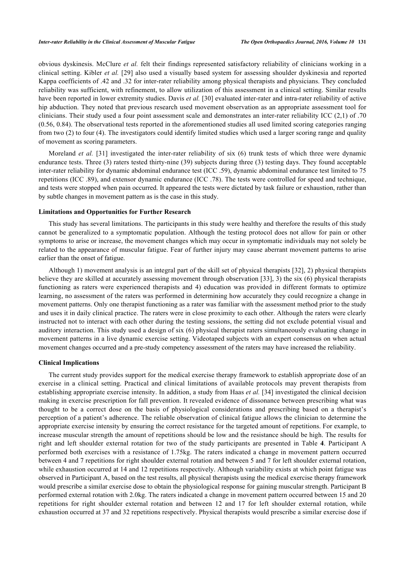obvious dyskinesis. McClure *et al.* felt their findings represented satisfactory reliability of clinicians working in a clinical setting. Kibler *et al.* [[29](#page-8-16)] also used a visually based system for assessing shoulder dyskinesia and reported Kappa coefficients of .42 and .32 for inter-rater reliability among physical therapists and physicians. They concluded reliability was sufficient, with refinement, to allow utilization of this assessment in a clinical setting. Similar results have been reported in lower extremity studies. Davis *et al.* [\[30](#page-8-17)] evaluated inter-rater and intra-rater reliability of active hip abduction. They noted that previous research used movement observation as an appropriate assessment tool for clinicians. Their study used a four point assessment scale and demonstrates an inter-rater reliability ICC (2,1) of .70 (0.56, 0.84). The observational tests reported in the aforementioned studies all used limited scoring categories ranging from two (2) to four (4). The investigators could identify limited studies which used a larger scoring range and quality of movement as scoring parameters.

Moreland *et al.* [[31\]](#page-8-18) investigated the inter-rater reliability of six (6) trunk tests of which three were dynamic endurance tests. Three (3) raters tested thirty-nine (39) subjects during three (3) testing days. They found acceptable inter-rater reliability for dynamic abdominal endurance test (ICC .59), dynamic abdominal endurance test limited to 75 repetitions (ICC .89), and extensor dynamic endurance (ICC .78). The tests were controlled for speed and technique, and tests were stopped when pain occurred. It appeared the tests were dictated by task failure or exhaustion, rather than by subtle changes in movement pattern as is the case in this study.

#### **Limitations and Opportunities for Further Research**

This study has several limitations. The participants in this study were healthy and therefore the results of this study cannot be generalized to a symptomatic population. Although the testing protocol does not allow for pain or other symptoms to arise or increase, the movement changes which may occur in symptomatic individuals may not solely be related to the appearance of muscular fatigue. Fear of further injury may cause aberrant movement patterns to arise earlier than the onset of fatigue.

Although 1) movement analysis is an integral part of the skill set of physical therapists [[32](#page-9-0)], 2) physical therapists believe they are skilled at accurately assessing movement through observation [[33\]](#page-9-1), 3) the six (6) physical therapists functioning as raters were experienced therapists and 4) education was provided in different formats to optimize learning, no assessment of the raters was performed in determining how accurately they could recognize a change in movement patterns. Only one therapist functioning as a rater was familiar with the assessment method prior to the study and uses it in daily clinical practice. The raters were in close proximity to each other. Although the raters were clearly instructed not to interact with each other during the testing sessions, the setting did not exclude potential visual and auditory interaction. This study used a design of six (6) physical therapist raters simultaneously evaluating change in movement patterns in a live dynamic exercise setting. Videotaped subjects with an expert consensus on when actual movement changes occurred and a pre-study competency assessment of the raters may have increased the reliability.

#### **Clinical Implications**

The current study provides support for the medical exercise therapy framework to establish appropriate dose of an exercise in a clinical setting. Practical and clinical limitations of available protocols may prevent therapists from establishing appropriate exercise intensity. In addition, a study from Haas *et al.* [\[34\]](#page-9-2) investigated the clinical decision making in exercise prescription for fall prevention. It revealed evidence of dissonance between prescribing what was thought to be a correct dose on the basis of physiological considerations and prescribing based on a therapist's perception of a patient's adherence. The reliable observation of clinical fatigue allows the clinician to determine the appropriate exercise intensity by ensuring the correct resistance for the targeted amount of repetitions. For example, to increase muscular strength the amount of repetitions should be low and the resistance should be high. The results for right and left shoulder external rotation for two of the study participants are presented in Table**4**. Participant A performed both exercises with a resistance of 1.75kg. The raters indicated a change in movement pattern occurred between 4 and 7 repetitions for right shoulder external rotation and between 5 and 7 for left shoulder external rotation, while exhaustion occurred at 14 and 12 repetitions respectively. Although variability exists at which point fatigue was observed in Participant A, based on the test results, all physical therapists using the medical exercise therapy framework would prescribe a similar exercise dose to obtain the physiological response for gaining muscular strength. Participant B performed external rotation with 2.0kg. The raters indicated a change in movement pattern occurred between 15 and 20 repetitions for right shoulder external rotation and between 12 and 17 for left shoulder external rotation, while exhaustion occurred at 37 and 32 repetitions respectively. Physical therapists would prescribe a similar exercise dose if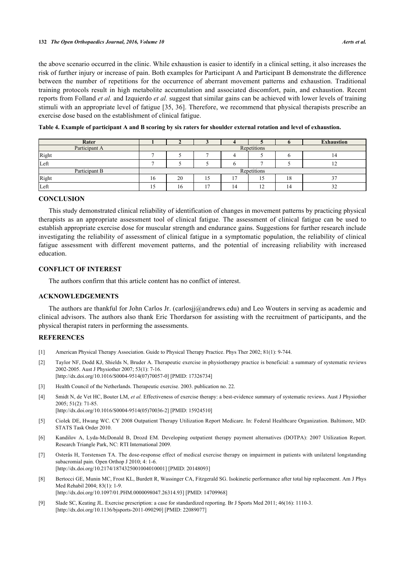the above scenario occurred in the clinic. While exhaustion is easier to identify in a clinical setting, it also increases the risk of further injury or increase of pain. Both examples for Participant A and Participant B demonstrate the difference between the number of repetitions for the occurrence of aberrant movement patterns and exhaustion. Traditional training protocols result in high metabolite accumulation and associated discomfort, pain, and exhaustion. Recent reports from Folland *et al.* and Izquierdo *et al.* suggest that similar gains can be achieved with lower levels of training stimuli with an appropriate level of fatigue [\[35](#page-9-3), [36](#page-9-4)]. Therefore, we recommend that physical therapists prescribe an exercise dose based on the establishment of clinical fatigue.

<span id="page-7-8"></span>

|  |  | Table 4. Example of participant A and B scoring by six raters for shoulder external rotation and level of exhaustion. |
|--|--|-----------------------------------------------------------------------------------------------------------------------|
|  |  |                                                                                                                       |

| Rater         |             |    |                |  |                      |    | <b>Exhaustion</b> |
|---------------|-------------|----|----------------|--|----------------------|----|-------------------|
| Participant A | Repetitions |    |                |  |                      |    |                   |
| Right         |             |    |                |  |                      |    | 4ء                |
| Left          |             |    |                |  |                      |    |                   |
| Participant B | Repetitions |    |                |  |                      |    |                   |
| Right         | 16          | 20 | 10             |  |                      | 18 |                   |
| Left          | 15          | 16 | 1 <sub>7</sub> |  | $\ddot{\phantom{1}}$ | 14 | 32                |

# **CONCLUSION**

This study demonstrated clinical reliability of identification of changes in movement patterns by practicing physical therapists as an appropriate assessment tool of clinical fatigue. The assessment of clinical fatigue can be used to establish appropriate exercise dose for muscular strength and endurance gains. Suggestions for further research include investigating the reliability of assessment of clinical fatigue in a symptomatic population, the reliability of clinical fatigue assessment with different movement patterns, and the potential of increasing reliability with increased education.

## **CONFLICT OF INTEREST**

The authors confirm that this article content has no conflict of interest.

# **ACKNOWLEDGEMENTS**

The authors are thankful for John Carlos Jr. ([carlosjj@andrews.edu](mailto:carlosjj@andrews.edu)) and Leo Wouters in serving as academic and clinical advisors. The authors also thank Eric Thordarson for assisting with the recruitment of participants, and the physical therapist raters in performing the assessments.

#### **REFERENCES**

- <span id="page-7-0"></span>[1] American Physical Therapy Association. Guide to Physical Therapy Practice. Phys Ther 2002; 81(1): 9-744.
- <span id="page-7-1"></span>[2] Taylor NF, Dodd KJ, Shields N, Bruder A. Therapeutic exercise in physiotherapy practice is beneficial: a summary of systematic reviews 2002-2005. Aust J Physiother 2007; 53(1): 7-16. [\[http://dx.doi.org/10.1016/S0004-9514\(07\)70057-0\]](http://dx.doi.org/10.1016/S0004-9514(07)70057-0) [PMID: [17326734](http://www.ncbi.nlm.nih.gov/pubmed/17326734)]
- [3] Health Council of the Netherlands. Therapeutic exercise. 2003. publication no. 22.
- <span id="page-7-2"></span>[4] Smidt N, de Vet HC, Bouter LM, et al. Effectiveness of exercise therapy: a best-evidence summary of systematic reviews. Aust J Physiother 2005; 51(2): 71-85. [\[http://dx.doi.org/10.1016/S0004-9514\(05\)70036-2\]](http://dx.doi.org/10.1016/S0004-9514(05)70036-2) [PMID: [15924510](http://www.ncbi.nlm.nih.gov/pubmed/15924510)]
- <span id="page-7-3"></span>[5] Ciolek DE, Hwang WC. CY 2008 Outpatient Therapy Utilization Report Medicare. In: Federal Healthcare Organization. Baltimore, MD:
- STATS Task Order 2010. [6] Kandilov A, Lyda-McDonald B, Drozd EM. Developing outpatient therapy payment alternatives (DOTPA): 2007 Utilization Report.
- <span id="page-7-4"></span>Research Triangle Park, NC: RTI International 2009.
- <span id="page-7-5"></span>[7] Osterås H, Torstensen TA. The dose-response effect of medical exercise therapy on impairment in patients with unilateral longstanding subacromial pain. Open Orthop J 2010; 4: 1-6. [\[http://dx.doi.org/10.2174/1874325001004010001\]](http://dx.doi.org/10.2174/1874325001004010001) [PMID: [20148093](http://www.ncbi.nlm.nih.gov/pubmed/20148093)]
- <span id="page-7-6"></span>[8] Bertocci GE, Munin MC, Frost KL, Burdett R, Wassinger CA, Fitzgerald SG. Isokinetic performance after total hip replacement. Am J Phys Med Rehabil 2004; 83(1): 1-9. [\[http://dx.doi.org/10.1097/01.PHM.0000098047.26314.93](http://dx.doi.org/10.1097/01.PHM.0000098047.26314.93)] [PMID: [14709968\]](http://www.ncbi.nlm.nih.gov/pubmed/14709968)
- <span id="page-7-7"></span>[9] Slade SC, Keating JL. Exercise prescription: a case for standardized reporting. Br J Sports Med 2011; 46(16): 1110-3. [\[http://dx.doi.org/10.1136/bjsports-2011-090290](http://dx.doi.org/10.1136/bjsports-2011-090290)] [PMID: [22089077](http://www.ncbi.nlm.nih.gov/pubmed/22089077)]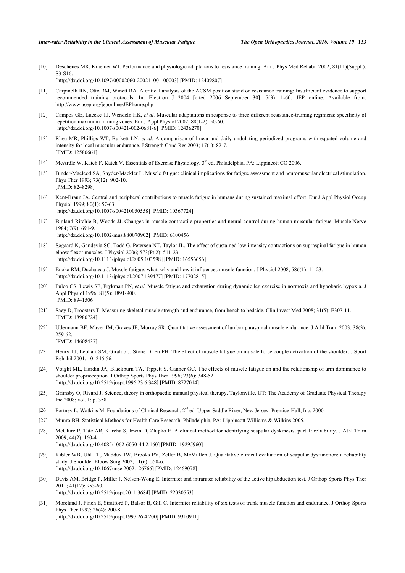[10] Deschenes MR, Kraemer WJ. Performance and physiologic adaptations to resistance training. Am J Phys Med Rehabil 2002; 81(11)(Suppl.): S3-S16. [\[http://dx.doi.org/10.1097/00002060-200211001-00003](http://dx.doi.org/10.1097/00002060-200211001-00003)] [PMID: [12409807\]](http://www.ncbi.nlm.nih.gov/pubmed/12409807)

[11] Carpinelli RN, Otto RM, Winett RA. A critical analysis of the ACSM position stand on resistance training: Insufficient evidence to support recommended training protocols. Int Electron J 2004 [cited 2006 September 30]; 7(3): 1-60. JEP online. Available from: <http://www.asep.org/jeponline/JEPhome.php>

- [12] Campos GE, Luecke TJ, Wendeln HK, *et al.* Muscular adaptations in response to three different resistance-training regimens: specificity of repetition maximum training zones. Eur J Appl Physiol 2002; 88(1-2): 50-60. [\[http://dx.doi.org/10.1007/s00421-002-0681-6\]](http://dx.doi.org/10.1007/s00421-002-0681-6) [PMID: [12436270](http://www.ncbi.nlm.nih.gov/pubmed/12436270)]
- <span id="page-8-0"></span>[13] Rhea MR, Phillips WT, Burkett LN, *et al.* A comparison of linear and daily undulating periodized programs with equated volume and intensity for local muscular endurance. J Strength Cond Res 2003; 17(1): 82-7. [PMID: [12580661\]](http://www.ncbi.nlm.nih.gov/pubmed/12580661)
- <span id="page-8-1"></span>[14] McArdle W, Katch F, Katch V. Essentials of Exercise Physiology. 3<sup>rd</sup> ed. Philadelphia, PA: Lippincott CO 2006.
- <span id="page-8-2"></span>[15] Binder-Macleod SA, Snyder-Mackler L. Muscle fatigue: clinical implications for fatigue assessment and neuromuscular electrical stimulation. Phys Ther 1993; 73(12): 902-10. [PMID: [8248298\]](http://www.ncbi.nlm.nih.gov/pubmed/8248298)
- <span id="page-8-3"></span>[16] Kent-Braun JA. Central and peripheral contributions to muscle fatigue in humans during sustained maximal effort. Eur J Appl Physiol Occup Physiol 1999; 80(1): 57-63. [\[http://dx.doi.org/10.1007/s004210050558\]](http://dx.doi.org/10.1007/s004210050558) [PMID: [10367724](http://www.ncbi.nlm.nih.gov/pubmed/10367724)]
- <span id="page-8-4"></span>[17] Bigland-Ritchie B, Woods JJ. Changes in muscle contractile properties and neural control during human muscular fatigue. Muscle Nerve 1984; 7(9): 691-9. [\[http://dx.doi.org/10.1002/mus.880070902](http://dx.doi.org/10.1002/mus.880070902)] [PMID: [6100456\]](http://www.ncbi.nlm.nih.gov/pubmed/6100456)
- <span id="page-8-5"></span>[18] Søgaard K, Gandevia SC, Todd G, Petersen NT, Taylor JL. The effect of sustained low-intensity contractions on supraspinal fatigue in human elbow flexor muscles. J Physiol 2006; 573(Pt 2): 511-23. [\[http://dx.doi.org/10.1113/jphysiol.2005.103598\]](http://dx.doi.org/10.1113/jphysiol.2005.103598) [PMID: [16556656](http://www.ncbi.nlm.nih.gov/pubmed/16556656)]
- <span id="page-8-6"></span>[19] Enoka RM, Duchateau J. Muscle fatigue: what, why and how it influences muscle function. J Physiol 2008; 586(1): 11-23. [\[http://dx.doi.org/10.1113/jphysiol.2007.139477\]](http://dx.doi.org/10.1113/jphysiol.2007.139477) [PMID: [17702815](http://www.ncbi.nlm.nih.gov/pubmed/17702815)]
- <span id="page-8-7"></span>[20] Fulco CS, Lewis SF, Frykman PN, *et al.* Muscle fatigue and exhaustion during dynamic leg exercise in normoxia and hypobaric hypoxia. J Appl Physiol 1996; 81(5): 1891-900. [PMID: [8941506\]](http://www.ncbi.nlm.nih.gov/pubmed/8941506)
- <span id="page-8-8"></span>[21] Saey D, Troosters T. Measuring skeletal muscle strength and endurance, from bench to bedside. Clin Invest Med 2008; 31(5): E307-11. [PMID: [18980724\]](http://www.ncbi.nlm.nih.gov/pubmed/18980724)
- <span id="page-8-9"></span>[22] Udermann BE, Mayer JM, Graves JE, Murray SR. Quantitative assessment of lumbar paraspinal muscle endurance. J Athl Train 2003; 38(3): 259-62.
	- [PMID: [14608437\]](http://www.ncbi.nlm.nih.gov/pubmed/14608437)
- <span id="page-8-10"></span>[23] Henry TJ, Lephart SM, Giraldo J, Stone D, Fu FH. The effect of muscle fatigue on muscle force couple activation of the shoulder. J Sport Rehabil 2001; 10: 246-56.
- <span id="page-8-11"></span>[24] Voight ML, Hardin JA, Blackburn TA, Tippett S, Canner GC. The effects of muscle fatigue on and the relationship of arm dominance to shoulder proprioception. J Orthop Sports Phys Ther 1996; 23(6): 348-52. [\[http://dx.doi.org/10.2519/jospt.1996.23.6.348](http://dx.doi.org/10.2519/jospt.1996.23.6.348)] [PMID: [8727014\]](http://www.ncbi.nlm.nih.gov/pubmed/8727014)
- <span id="page-8-12"></span>[25] Grimsby O, Rivard J. Science, theory in orthopaedic manual physical therapy. Taylonville, UT: The Academy of Graduate Physical Therapy Inc 2008; vol. 1: p. 358.
- <span id="page-8-13"></span>[26] Portney L, Watkins M. Foundations of Clinical Research. 2<sup>nd</sup> ed. Upper Saddle River, New Jersey: Prentice-Hall, Inc. 2000.
- <span id="page-8-14"></span>[27] Munro BH. Statistical Methods for Health Care Research. Philadelphia, PA: Lippincott Williams & Wilkins 2005.
- <span id="page-8-15"></span>[28] McClure P, Tate AR, Kareha S, Irwin D, Zlupko E. A clinical method for identifying scapular dyskinesis, part 1: reliability. J Athl Train  $2009 \cdot 44(2) \cdot 160 - 4$ [\[http://dx.doi.org/10.4085/1062-6050-44.2.160](http://dx.doi.org/10.4085/1062-6050-44.2.160)] [PMID: [19295960\]](http://www.ncbi.nlm.nih.gov/pubmed/19295960)
- <span id="page-8-16"></span>[29] Kibler WB, Uhl TL, Maddux JW, Brooks PV, Zeller B, McMullen J. Qualitative clinical evaluation of scapular dysfunction: a reliability study. J Shoulder Elbow Surg 2002; 11(6): 550-6. [\[http://dx.doi.org/10.1067/mse.2002.126766\]](http://dx.doi.org/10.1067/mse.2002.126766) [PMID: [12469078](http://www.ncbi.nlm.nih.gov/pubmed/12469078)]
- <span id="page-8-17"></span>[30] Davis AM, Bridge P, Miller J, Nelson-Wong E. Interrater and intrarater reliability of the active hip abduction test. J Orthop Sports Phys Ther 2011; 41(12): 953-60. [\[http://dx.doi.org/10.2519/jospt.2011.3684](http://dx.doi.org/10.2519/jospt.2011.3684)] [PMID: [22030553\]](http://www.ncbi.nlm.nih.gov/pubmed/22030553)
- <span id="page-8-18"></span>[31] Moreland J, Finch E, Stratford P, Balsor B, Gill C. Interrater reliability of six tests of trunk muscle function and endurance. J Orthop Sports Phys Ther 1997; 26(4): 200-8. [\[http://dx.doi.org/10.2519/jospt.1997.26.4.200](http://dx.doi.org/10.2519/jospt.1997.26.4.200)] [PMID: [9310911\]](http://www.ncbi.nlm.nih.gov/pubmed/9310911)